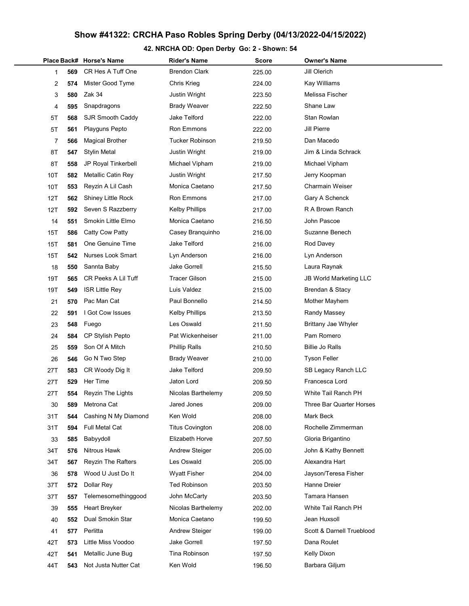# Show #41322: CRCHA Paso Robles Spring Derby (04/13/2022-04/15/2022)

# 42. NRCHA OD: Open Derby Go: 2 - Shown: 54

|     |     | Place Back# Horse's Name | <b>Rider's Name</b>    | <b>Score</b> | <b>Owner's Name</b>           |
|-----|-----|--------------------------|------------------------|--------------|-------------------------------|
| 1   | 569 | CR Hes A Tuff One        | <b>Brendon Clark</b>   | 225.00       | Jill Olerich                  |
| 2   | 574 | Mister Good Tyme         | Chris Krieg            | 224.00       | Kay Williams                  |
| 3   | 580 | Zak 34                   | Justin Wright          | 223.50       | Melissa Fischer               |
| 4   | 595 | Snapdragons              | <b>Brady Weaver</b>    | 222.50       | Shane Law                     |
| 5Τ  | 568 | SJR Smooth Caddy         | Jake Telford           | 222.00       | Stan Rowlan                   |
| 5Τ  | 561 | <b>Playguns Pepto</b>    | Ron Emmons             | 222.00       | Jill Pierre                   |
| 7   | 566 | <b>Magical Brother</b>   | <b>Tucker Robinson</b> | 219.50       | Dan Macedo                    |
| 8T  | 547 | <b>Stylin Metal</b>      | <b>Justin Wright</b>   | 219.00       | Jim & Linda Schrack           |
| 8T  | 558 | JP Royal Tinkerbell      | Michael Vipham         | 219.00       | Michael Vipham                |
| 10T | 582 | Metallic Catin Rey       | Justin Wright          | 217.50       | Jerry Koopman                 |
| 10T | 553 | Reyzin A Lil Cash        | Monica Caetano         | 217.50       | <b>Charmain Weiser</b>        |
| 12T | 562 | Shiney Little Rock       | Ron Emmons             | 217.00       | Gary A Schenck                |
| 12T | 592 | Seven S Razzberry        | <b>Kelby Phillips</b>  | 217.00       | R A Brown Ranch               |
| 14  | 551 | Smokin Little Elmo       | Monica Caetano         | 216.50       | John Pascoe                   |
| 15T | 586 | Catty Cow Patty          | Casey Branguinho       | 216.00       | Suzanne Benech                |
| 15T | 581 | One Genuine Time         | Jake Telford           | 216.00       | Rod Davey                     |
| 15T | 542 | <b>Nurses Look Smart</b> | Lyn Anderson           | 216.00       | Lyn Anderson                  |
| 18  | 550 | Sannta Baby              | <b>Jake Gorrell</b>    | 215.50       | Laura Raynak                  |
| 19T | 565 | CR Peeks A Lil Tuff      | <b>Tracer Gilson</b>   | 215.00       | <b>JB World Marketing LLC</b> |
| 19T | 549 | <b>ISR Little Rey</b>    | Luis Valdez            | 215.00       | Brendan & Stacy               |
| 21  | 570 | Pac Man Cat              | Paul Bonnello          | 214.50       | Mother Mayhem                 |
| 22  | 591 | I Got Cow Issues         | <b>Kelby Phillips</b>  | 213.50       | Randy Massey                  |
| 23  | 548 | Fuego                    | Les Oswald             | 211.50       | Brittany Jae Whyler           |
| 24  | 584 | <b>CP Stylish Pepto</b>  | Pat Wickenheiser       | 211.00       | Pam Romero                    |
| 25  | 559 | Son Of A Mitch           | <b>Phillip Ralls</b>   | 210.50       | Billie Jo Ralls               |
| 26  | 546 | Go N Two Step            | <b>Brady Weaver</b>    | 210.00       | <b>Tyson Feller</b>           |
| 27T | 583 | CR Woody Dig It          | Jake Telford           | 209.50       | SB Legacy Ranch LLC           |
| 27T | 529 | Her Time                 | Jaton Lord             | 209.50       | Francesca Lord                |
| 27T | 554 | Reyzin The Lights        | Nicolas Barthelemy     | 209.50       | White Tail Ranch PH           |
| 30  | 589 | Metrona Cat              | Jared Jones            | 209.00       | Three Bar Quarter Horses      |
| 31T | 544 | Cashing N My Diamond     | Ken Wold               | 208.00       | Mark Beck                     |
| 31T | 594 | Full Metal Cat           | <b>Titus Covington</b> | 208.00       | Rochelle Zimmerman            |
| 33  | 585 | Babyydoll                | Elizabeth Horve        | 207.50       | Gloria Brigantino             |
| 34T | 576 | Nitrous Hawk             | <b>Andrew Steiger</b>  | 205.00       | John & Kathy Bennett          |
| 34T | 567 | Reyzin The Rafters       | Les Oswald             | 205.00       | Alexandra Hart                |
| 36  | 578 | Wood U Just Do It        | <b>Wyatt Fisher</b>    | 204.00       | Jayson/Teresa Fisher          |
| 37T | 572 | Dollar Rey               | <b>Ted Robinson</b>    | 203.50       | Hanne Dreier                  |
| 37T | 557 | Telemesomethinggood      | John McCarty           | 203.50       | Tamara Hansen                 |
| 39  | 555 | Heart Breyker            | Nicolas Barthelemy     | 202.00       | White Tail Ranch PH           |
| 40  | 552 | Dual Smokin Star         | Monica Caetano         | 199.50       | Jean Huxsoll                  |
| 41  | 577 | Perlitta                 | Andrew Steiger         | 199.00       | Scott & Darnell Trueblood     |
| 42T | 573 | Little Miss Voodoo       | Jake Gorrell           | 197.50       | Dana Roulet                   |
| 42T | 541 | Metallic June Bug        | Tina Robinson          | 197.50       | Kelly Dixon                   |
| 44T | 543 | Not Justa Nutter Cat     | Ken Wold               | 196.50       | Barbara Giljum                |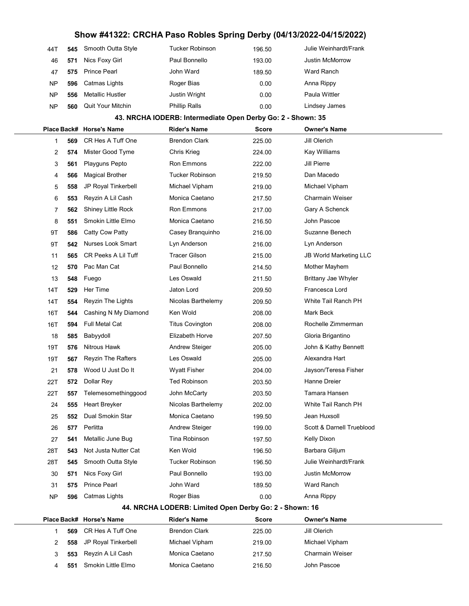## Show #41322: CRCHA Paso Robles Spring Derby (04/13/2022-04/15/2022)

| 44T       | 545 | Smooth Outta Style       | Tucker Robinson      | 196.50 | Julie Weinhardt/Frank  |
|-----------|-----|--------------------------|----------------------|--------|------------------------|
| 46        | 571 | Nics Foxy Girl           | Paul Bonnello        | 193.00 | <b>Justin McMorrow</b> |
| 47        | 575 | <b>Prince Pearl</b>      | John Ward            | 189.50 | Ward Ranch             |
| <b>NP</b> | 596 | Catmas Lights            | Roger Bias           | 0.00   | Anna Rippy             |
| <b>NP</b> | 556 | <b>Metallic Hustler</b>  | Justin Wright        | 0.00   | Paula Wittler          |
| <b>NP</b> | 560 | <b>Quit Your Mitchin</b> | <b>Phillip Ralls</b> | 0.00   | Lindsey James          |

#### 43. NRCHA IODERB: Intermediate Open Derby Go: 2 - Shown: 35

|                                                        |     | Place Back# Horse's Name   | <b>Rider's Name</b>    | <b>Score</b> | <b>Owner's Name</b>           |  |  |
|--------------------------------------------------------|-----|----------------------------|------------------------|--------------|-------------------------------|--|--|
| 1                                                      | 569 | CR Hes A Tuff One          | <b>Brendon Clark</b>   | 225.00       | Jill Olerich                  |  |  |
| 2                                                      | 574 | Mister Good Tyme           | Chris Krieg            | 224.00       | Kay Williams                  |  |  |
| 3                                                      | 561 | Playguns Pepto             | Ron Emmons             | 222.00       | Jill Pierre                   |  |  |
| 4                                                      | 566 | <b>Magical Brother</b>     | <b>Tucker Robinson</b> | 219.50       | Dan Macedo                    |  |  |
| 5                                                      | 558 | JP Royal Tinkerbell        | Michael Vipham         | 219.00       | Michael Vipham                |  |  |
| 6                                                      | 553 | Reyzin A Lil Cash          | Monica Caetano         | 217.50       | Charmain Weiser               |  |  |
| 7                                                      | 562 | Shiney Little Rock         | Ron Emmons             | 217.00       | Gary A Schenck                |  |  |
| 8                                                      | 551 | Smokin Little Elmo         | Monica Caetano         | 216.50       | John Pascoe                   |  |  |
| 9Τ                                                     | 586 | Catty Cow Patty            | Casey Branquinho       | 216.00       | Suzanne Benech                |  |  |
| 9Τ                                                     | 542 | Nurses Look Smart          | Lyn Anderson           | 216.00       | Lyn Anderson                  |  |  |
| 11                                                     | 565 | <b>CR Peeks A Lil Tuff</b> | <b>Tracer Gilson</b>   | 215.00       | <b>JB World Marketing LLC</b> |  |  |
| 12                                                     | 570 | Pac Man Cat                | Paul Bonnello          | 214.50       | Mother Mayhem                 |  |  |
| 13                                                     | 548 | Fuego                      | Les Oswald             | 211.50       | Brittany Jae Whyler           |  |  |
| 14T                                                    | 529 | Her Time                   | Jaton Lord             | 209.50       | Francesca Lord                |  |  |
| 14T                                                    | 554 | Reyzin The Lights          | Nicolas Barthelemy     | 209.50       | White Tail Ranch PH           |  |  |
| 16T                                                    | 544 | Cashing N My Diamond       | Ken Wold               | 208.00       | Mark Beck                     |  |  |
| 16T                                                    | 594 | Full Metal Cat             | <b>Titus Covington</b> | 208.00       | Rochelle Zimmerman            |  |  |
| 18                                                     | 585 | Babyydoll                  | Elizabeth Horve        | 207.50       | Gloria Brigantino             |  |  |
| 19T                                                    | 576 | Nitrous Hawk               | <b>Andrew Steiger</b>  | 205.00       | John & Kathy Bennett          |  |  |
| 19T                                                    | 567 | <b>Reyzin The Rafters</b>  | Les Oswald             | 205.00       | Alexandra Hart                |  |  |
| 21                                                     | 578 | Wood U Just Do It          | <b>Wyatt Fisher</b>    | 204.00       | Jayson/Teresa Fisher          |  |  |
| 22T                                                    | 572 | Dollar Rey                 | <b>Ted Robinson</b>    | 203.50       | Hanne Dreier                  |  |  |
| 22T                                                    | 557 | Telemesomethinggood        | John McCarty           | 203.50       | Tamara Hansen                 |  |  |
| 24                                                     | 555 | Heart Breyker              | Nicolas Barthelemy     | 202.00       | White Tail Ranch PH           |  |  |
| 25                                                     | 552 | Dual Smokin Star           | Monica Caetano         | 199.50       | Jean Huxsoll                  |  |  |
| 26                                                     | 577 | Perlitta                   | <b>Andrew Steiger</b>  | 199.00       | Scott & Darnell Trueblood     |  |  |
| 27                                                     | 541 | Metallic June Bug          | Tina Robinson          | 197.50       | Kelly Dixon                   |  |  |
| 28T                                                    | 543 | Not Justa Nutter Cat       | Ken Wold               | 196.50       | Barbara Giljum                |  |  |
| 28T                                                    | 545 | Smooth Outta Style         | <b>Tucker Robinson</b> | 196.50       | Julie Weinhardt/Frank         |  |  |
| 30                                                     | 571 | Nics Foxy Girl             | Paul Bonnello          | 193.00       | Justin McMorrow               |  |  |
| 31                                                     | 575 | <b>Prince Pearl</b>        | John Ward              | 189.50       | Ward Ranch                    |  |  |
| NP                                                     | 596 | <b>Catmas Lights</b>       | Roger Bias             | 0.00         | Anna Rippy                    |  |  |
| 44. NRCHA LODERB: Limited Open Derby Go: 2 - Shown: 16 |     |                            |                        |              |                               |  |  |
|                                                        |     | Place Back# Horse's Name   | <b>Rider's Name</b>    | Score        | <b>Owner's Name</b>           |  |  |
| 1                                                      | 569 | CR Hes A Tuff One          | <b>Brendon Clark</b>   | 225.00       | Jill Olerich                  |  |  |
| 2                                                      | 558 | JP Royal Tinkerbell        | Michael Vipham         | 219.00       | Michael Vipham                |  |  |

3 553 Reyzin A Lil Cash Monica Caetano 217.50 Charmain Weiser 4 551 Smokin Little Elmo Monica Caetano 216.50 John Pascoe